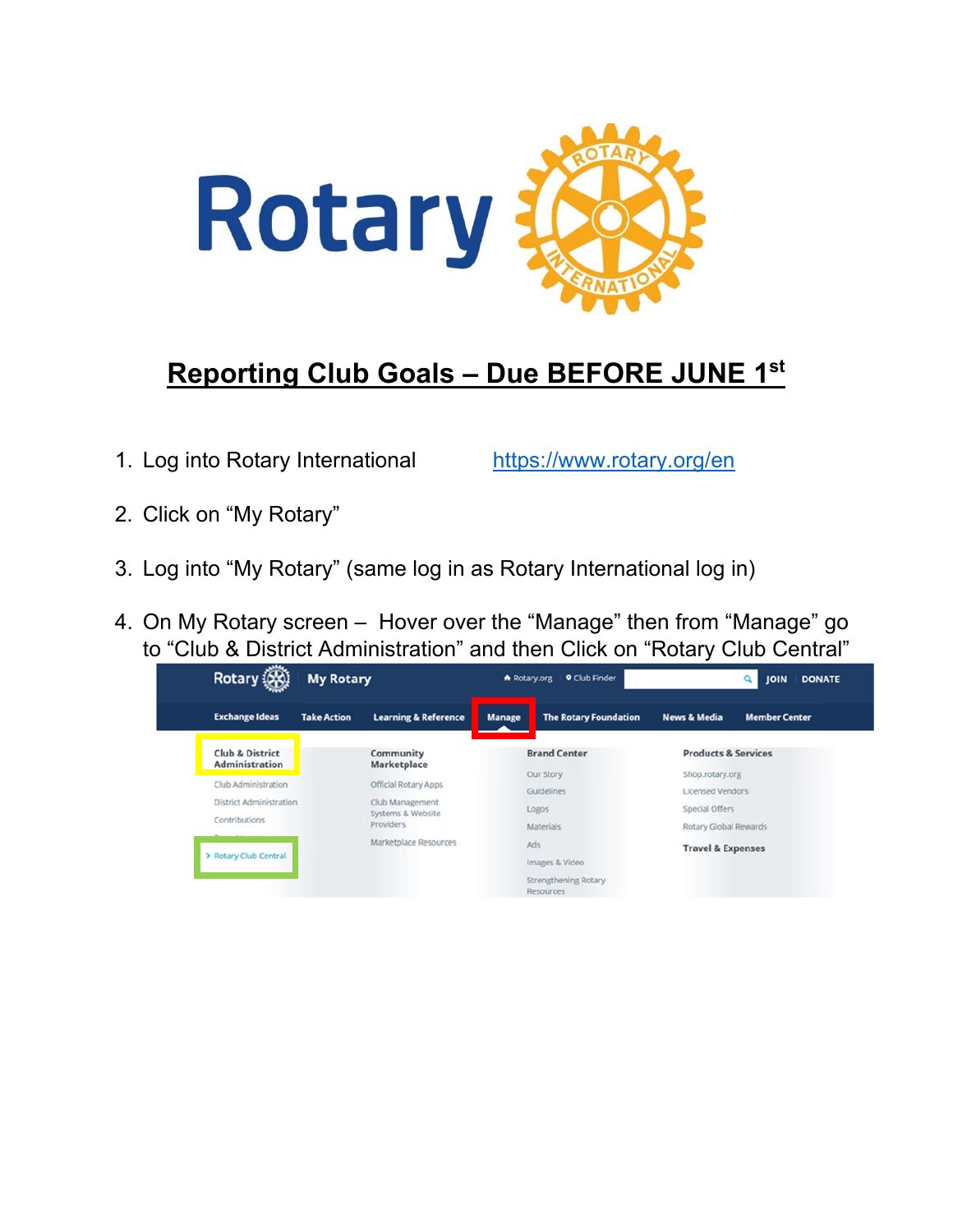

## **Reporting Club Goals – Due BEFORE JUNE 1st**

1. Log into Rotary International https://www.rotary.org/en

- 2. Click on "My Rotary"
- 3. Log into "My Rotary" (same log in as Rotary International log in)
- 4. On My Rotary screen Hover over the "Manage" then from "Manage" go to "Club & District Administration" and then Click on "Rotary Club Central"

| <b>Rotary!</b>                                                  | <b>My Rotary</b>   |                                                                            | <b>9 Club Finder</b><br>Rotary.org |                                                            | <b>DONATE</b><br><b>JOIN</b>                                                          |                      |  |
|-----------------------------------------------------------------|--------------------|----------------------------------------------------------------------------|------------------------------------|------------------------------------------------------------|---------------------------------------------------------------------------------------|----------------------|--|
| <b>Exchange Ideas</b>                                           | <b>Take Action</b> | <b>Learning &amp; Reference</b>                                            | <b>Manage</b>                      | <b>The Rotary Foundation</b>                               | <b>News &amp; Media</b>                                                               | <b>Member Center</b> |  |
| <b>Club &amp; District</b><br><b>Administration</b>             |                    | Community<br>Marketplace                                                   |                                    | <b>Brand Center</b>                                        | <b>Products &amp; Services</b>                                                        |                      |  |
| Club Administration<br>District Administration<br>Contributions |                    | Official Rotary Apps<br>Club Management<br>Systems & Website<br>Providers: |                                    | Our Story<br>Guidelines<br>Logos<br><b>Materials</b>       | Shop.rotary.org<br><b>Licensed Vendors</b><br>Special Offers<br>Rotary Global Rewards |                      |  |
| White was an including<br>> Rotary Club Central                 |                    | Marketplace Resources                                                      |                                    | Ads<br>Images & Video<br>Strengthening Rotary<br>Resources | <b>Travel &amp; Expenses</b>                                                          |                      |  |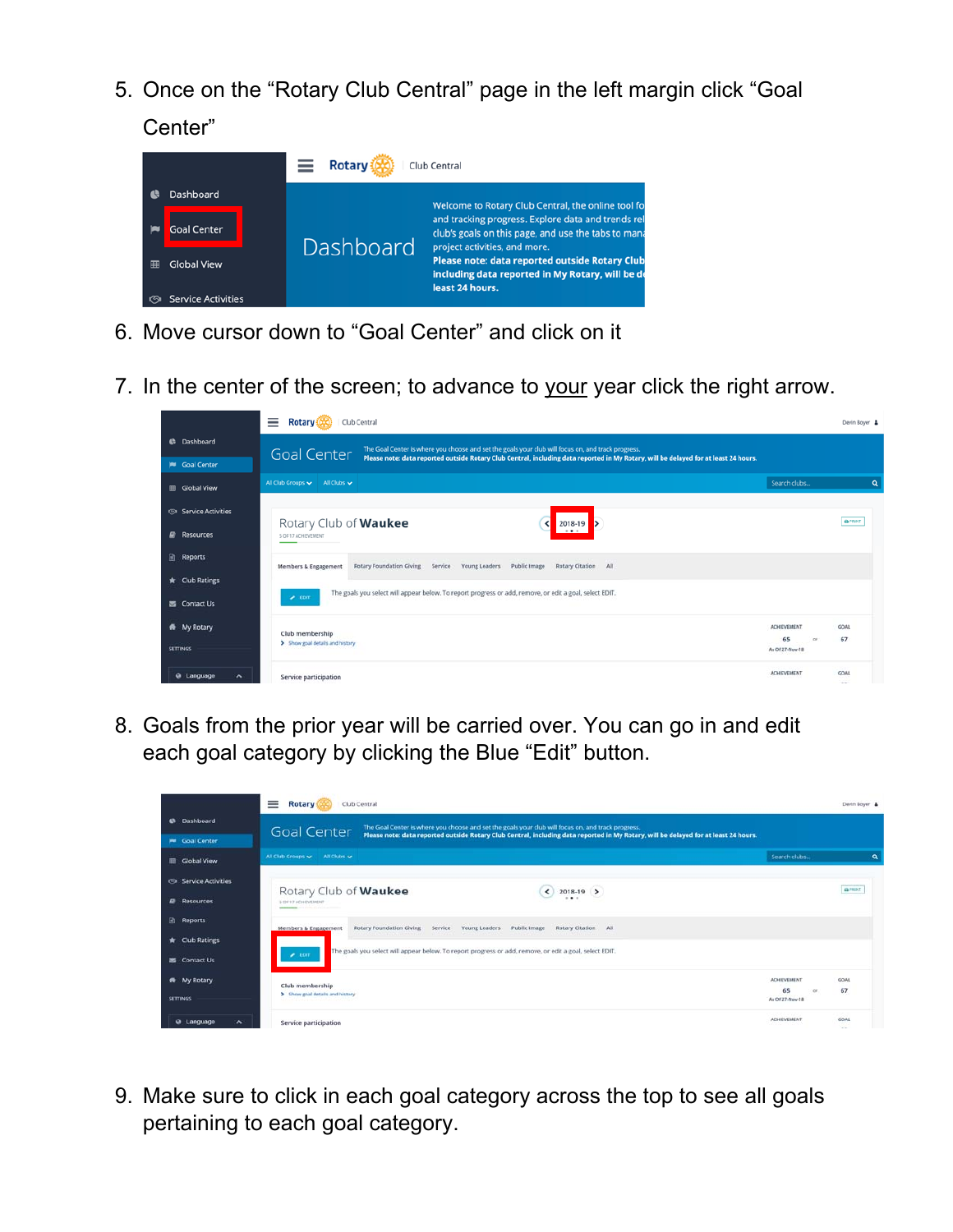5. Once on the "Rotary Club Central" page in the left margin click "Goal Center"

|                                 | <b>Rotary</b> | Club Central                                                                                                                               |
|---------------------------------|---------------|--------------------------------------------------------------------------------------------------------------------------------------------|
| Dashboard                       |               | Welcome to Rotary Club Central, the online tool fo                                                                                         |
| <b>Goal Center</b>              | Dashboard     | and tracking progress. Explore data and trends rel<br>club's goals on this page, and use the tabs to mana<br>project activities, and more. |
| <b>Global View</b><br>賱         |               | Please note: data reported outside Rotary Club<br>including data reported in My Rotary, will be de<br>least 24 hours.                      |
| <b>Service Activities</b><br>জে |               |                                                                                                                                            |

- 6. Move cursor down to "Goal Center" and click on it
- 7. In the center of the screen; to advance to your year click the right arrow.



8. Goals from the prior year will be carried over. You can go in and edit each goal category by clicking the Blue "Edit" button.

|                                              | ≡<br>Rotary<br>Club Central                                                                                                                                                                                                                                      | Devin Boyer &            |             |                |
|----------------------------------------------|------------------------------------------------------------------------------------------------------------------------------------------------------------------------------------------------------------------------------------------------------------------|--------------------------|-------------|----------------|
| <b>C</b> Dashboard<br><b>W</b> Goal Center   | The Goal Center is where you choose and set the goals your club will focus on, and track progress.<br><b>Goal Center</b><br>Please note: data reported outside Rotary Club Central, including data reported in My Rotary, will be delayed for at least 24 hours. |                          |             |                |
| <b>III</b> Global View                       | All Club Groups v All Clubs v                                                                                                                                                                                                                                    | Search clubs             |             | $\alpha$       |
| Service Activities                           | Rotary Club of Waukee<br>2018-19 ><br>≺                                                                                                                                                                                                                          |                          |             | <b>GLENDST</b> |
| <b>B</b> Resources                           | $\cdots$<br>5. DE 17 ACHIEVEMENT                                                                                                                                                                                                                                 |                          |             |                |
| 团<br><b>Reports</b><br><b>*</b> Club Ratings | Service Young Leaders Public Image<br>Rotary Citation All<br>Rotary Foundation Giving<br>Members & Engagement                                                                                                                                                    |                          |             |                |
| M Contact Us                                 | The goals you select will appear below. To report progress or add, remove, or edit a goal, select EDIT.<br>$\blacktriangleright$ EDIT:                                                                                                                           |                          |             |                |
| <b>W</b> My Rotary                           | Club membership                                                                                                                                                                                                                                                  | <b>ACHIEVEMENT</b><br>65 | GOAL<br>67  |                |
| <b>SETTINGS</b>                              | > Show goal details and history                                                                                                                                                                                                                                  | As Of 27-Nov-18          |             |                |
| @ Language<br>$\hat{\phantom{a}}$            | Service participation                                                                                                                                                                                                                                            | <b>ACHIEVEMENT</b>       | <b>GOAL</b> |                |

9. Make sure to click in each goal category across the top to see all goals pertaining to each goal category.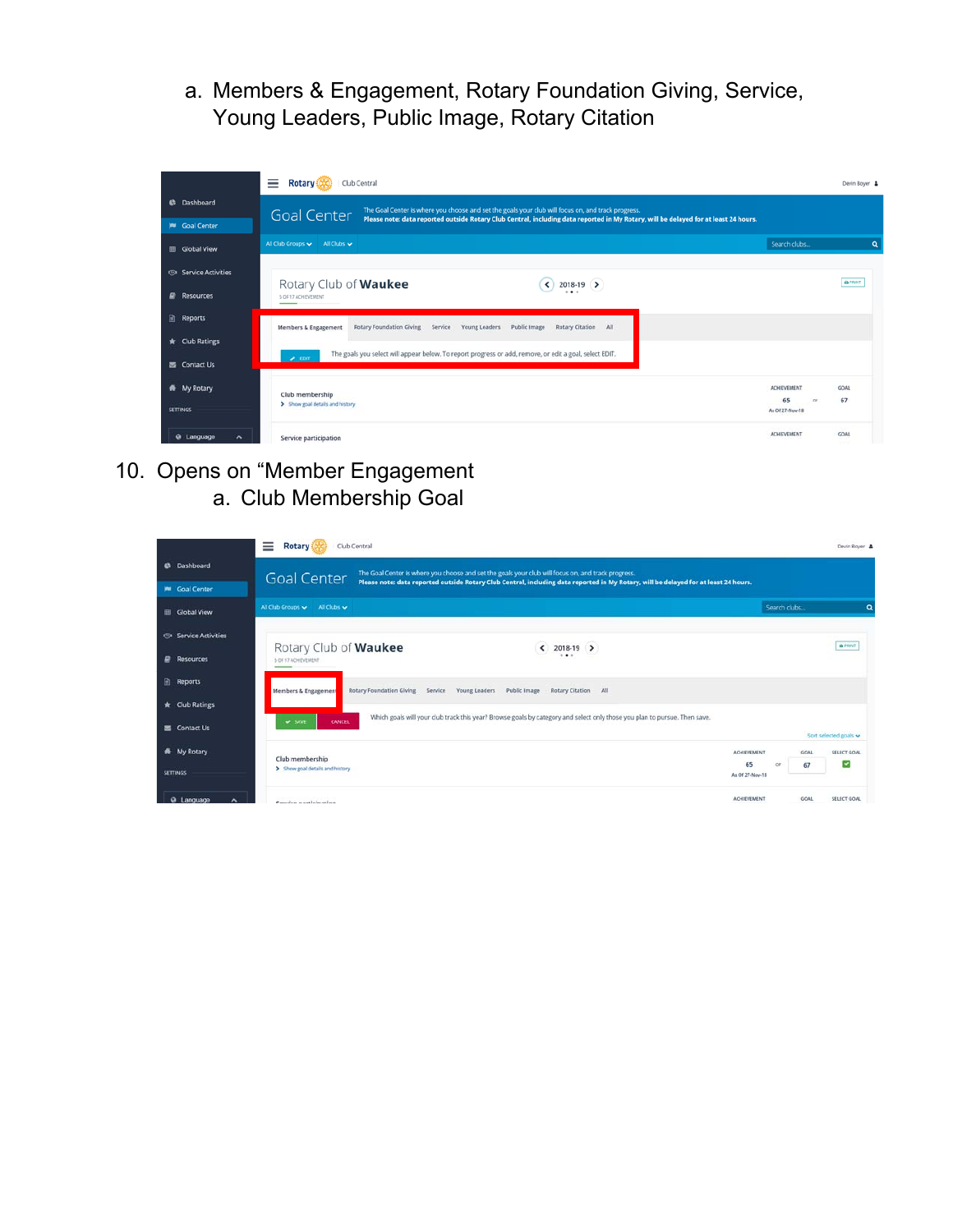a. Members & Engagement, Rotary Foundation Giving, Service, Young Leaders, Public Image, Rotary Citation



10. Opens on "Member Engagement a. Club Membership Goal

|                                            | ≡<br>Club Central<br><b>Rotary</b>                                                                                                                                                                                                                               |                               |             | Devin Boyer &       |
|--------------------------------------------|------------------------------------------------------------------------------------------------------------------------------------------------------------------------------------------------------------------------------------------------------------------|-------------------------------|-------------|---------------------|
| <b>C</b> Dashboard<br><b>W</b> Goal Center | The Goal Center is where you choose and set the goals your club will focus on, and track progress.<br><b>Goal Center</b><br>Please note: data reported outside Rotary Club Central, including data reported in My Rotary, will be delayed for at least 24 hours. |                               |             |                     |
| <b>El</b> Global View                      | All Club Groups v All Clubs v                                                                                                                                                                                                                                    | Search clubs                  |             | a                   |
| Service Activities                         | Rotary Club of Waukee<br>$2018-19$ >                                                                                                                                                                                                                             |                               |             | <b>Q PRINT</b>      |
| Resources<br>₽                             | <br>5 OF 17 ACHIEVEMENT                                                                                                                                                                                                                                          |                               |             |                     |
| 日<br><b>Reports</b>                        | Public Image<br>Rotary Citation All<br>Rotary Foundation Giving<br>Service<br>Young Leaders<br>Members & Engagement                                                                                                                                              |                               |             |                     |
| <b>*</b> Club Ratings                      | Which goals will your club track this year? Browse goals by category and select only those you plan to pursue. Then save.<br>$\blacktriangleright$ SAVE<br><b>CANCEL</b>                                                                                         |                               |             |                     |
| Contact Us                                 |                                                                                                                                                                                                                                                                  |                               |             | Sort selected goals |
| My Rotary<br>*                             | Club membership<br>> Show goal details and history                                                                                                                                                                                                               | <b>ACHIEVEMENT</b><br>65<br>œ | GOAL<br>67  | SELECT GOAL<br>▿    |
| <b>SETTINGS</b>                            |                                                                                                                                                                                                                                                                  | As Of 27-New-18               |             |                     |
| <b>Q</b> Language<br>$\hat{\phantom{a}}$   | Consico participation                                                                                                                                                                                                                                            | <b>ACHIEVEMENT</b>            | <b>GOAL</b> | SELECT GOAL         |